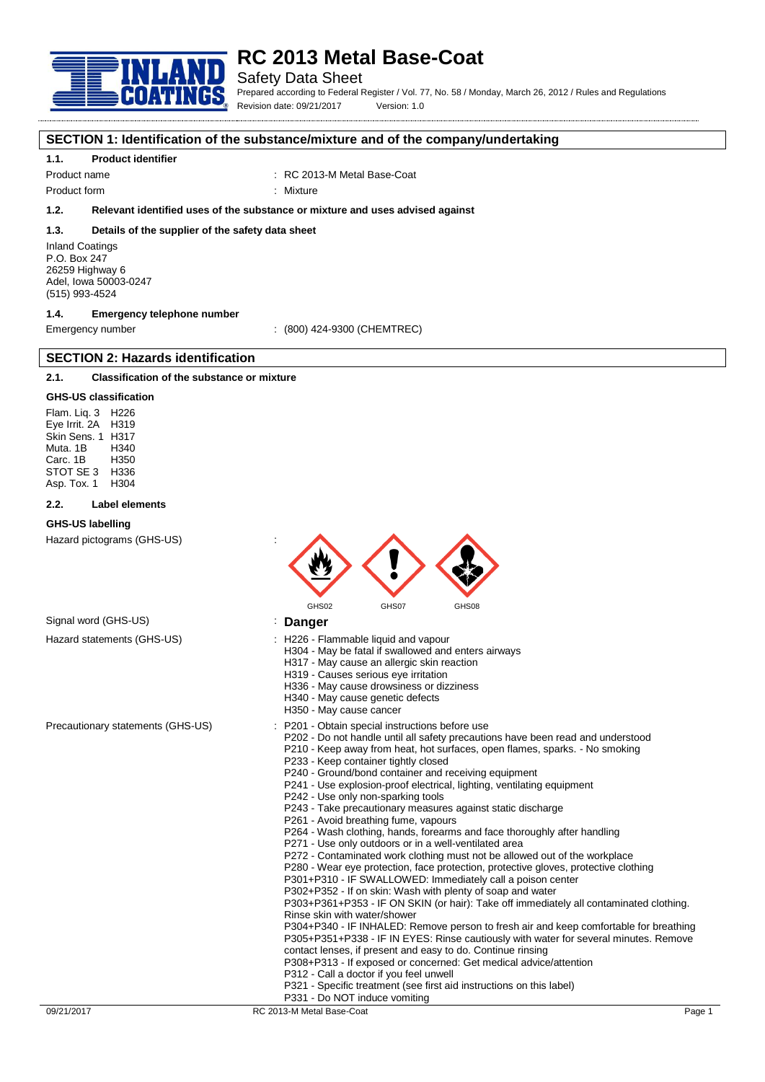

### Safety Data Sheet

Prepared according to Federal Register / Vol. 77, No. 58 / Monday, March 26, 2012 / Rules and Regulations Revision date: 09/21/2017 Version: 1.0

### **SECTION 1: Identification of the substance/mixture and of the company/undertaking**

#### **1.1. Product identifier**

Product name : RC 2013-M Metal Base-Coat

Product form : Nixture

### **1.2. Relevant identified uses of the substance or mixture and uses advised against**

#### **1.3. Details of the supplier of the safety data sheet**

Inland Coatings P.O. Box 247 26259 Highway 6 Adel, Iowa 50003-0247 (515) 993-4524

### **1.4. Emergency telephone number**

**SECTION 2: Hazards identification**

Emergency number : (800) 424-9300 (CHEMTREC)

### **2.1. Classification of the substance or mixture**

#### **GHS-US classification**

Flam. Liq. 3 H226 Eye Irrit. 2A H319 Skin Sens. 1 H317 Muta. 1B H340 Carc. 1B STOT SE 3 H336<br>Asp Tox 1 H304 Asp. Tox. 1

#### **2.2. Label elements**

#### **GHS-US labelling**

Hazard pictograms (GHS-US) :



Signal word (GHS-US) **in the US** is **Danger** 

- Hazard statements (GHS-US) : H226 Flammable liquid and vapour
	- H304 May be fatal if swallowed and enters airways
		- H317 May cause an allergic skin reaction
		- H319 Causes serious eye irritation
		- H336 May cause drowsiness or dizziness
		- H340 May cause genetic defects
		- H350 May cause cancer
- Precautionary statements (GHS-US) : P201 Obtain special instructions before use
	- P202 Do not handle until all safety precautions have been read and understood
	- P210 Keep away from heat, hot surfaces, open flames, sparks. No smoking P233 - Keep container tightly closed
	- P240 Ground/bond container and receiving equipment
	- P241 Use explosion-proof electrical, lighting, ventilating equipment
	- P242 Use only non-sparking tools
	- P243 Take precautionary measures against static discharge
	- P261 Avoid breathing fume, vapours
	- P264 Wash clothing, hands, forearms and face thoroughly after handling
	- P271 Use only outdoors or in a well-ventilated area
	- P272 Contaminated work clothing must not be allowed out of the workplace
	- P280 Wear eye protection, face protection, protective gloves, protective clothing
	- P301+P310 IF SWALLOWED: Immediately call a poison center
	- P302+P352 If on skin: Wash with plenty of soap and water

P303+P361+P353 - IF ON SKIN (or hair): Take off immediately all contaminated clothing. Rinse skin with water/shower

P304+P340 - IF INHALED: Remove person to fresh air and keep comfortable for breathing P305+P351+P338 - IF IN EYES: Rinse cautiously with water for several minutes. Remove contact lenses, if present and easy to do. Continue rinsing

- P308+P313 If exposed or concerned: Get medical advice/attention
- P312 Call a doctor if you feel unwell
- P321 Specific treatment (see first aid instructions on this label)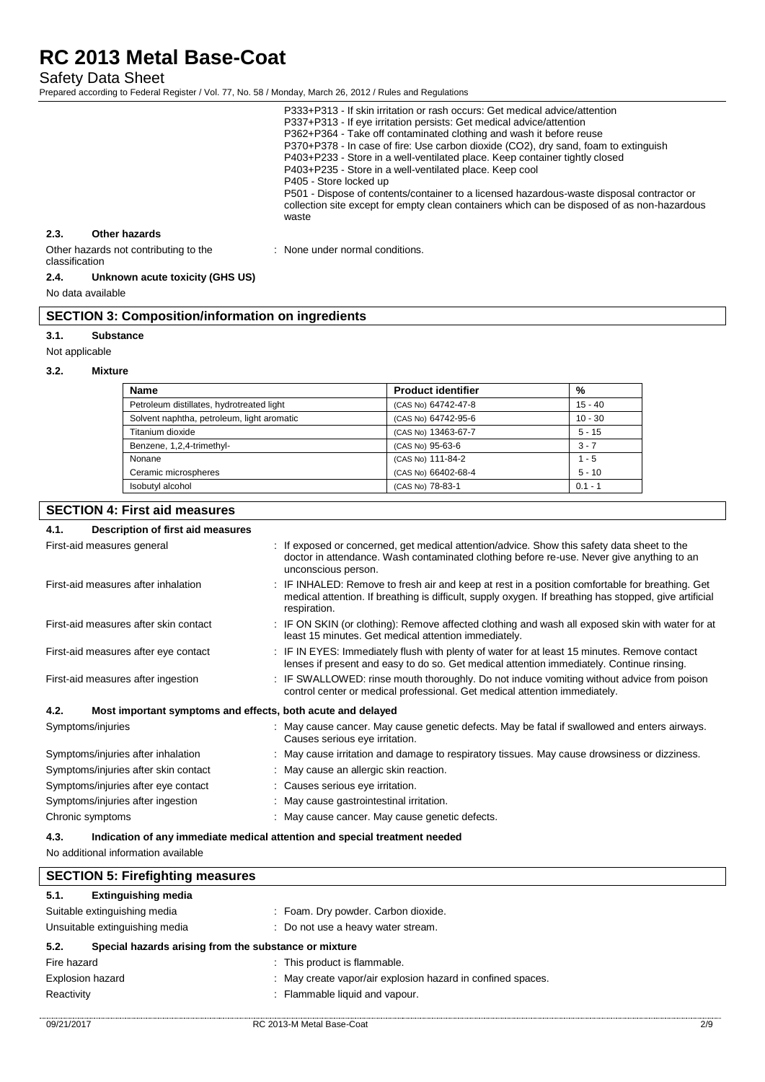Safety Data Sheet

Prepared according to Federal Register / Vol. 77, No. 58 / Monday, March 26, 2012 / Rules and Regulations

| P405 - Store locked up<br>waste |                                       | P333+P313 - If skin irritation or rash occurs: Get medical advice/attention<br>P337+P313 - If eye irritation persists: Get medical advice/attention<br>P362+P364 - Take off contaminated clothing and wash it before reuse<br>P370+P378 - In case of fire: Use carbon dioxide (CO2), dry sand, foam to extinguish<br>P403+P233 - Store in a well-ventilated place. Keep container tightly closed<br>P403+P235 - Store in a well-ventilated place. Keep cool<br>P501 - Dispose of contents/container to a licensed hazardous-waste disposal contractor or<br>collection site except for empty clean containers which can be disposed of as non-hazardous |
|---------------------------------|---------------------------------------|---------------------------------------------------------------------------------------------------------------------------------------------------------------------------------------------------------------------------------------------------------------------------------------------------------------------------------------------------------------------------------------------------------------------------------------------------------------------------------------------------------------------------------------------------------------------------------------------------------------------------------------------------------|
| 2.3.                            | Other hazards                         |                                                                                                                                                                                                                                                                                                                                                                                                                                                                                                                                                                                                                                                         |
|                                 | Other hazards not contributing to the | : None under normal conditions.                                                                                                                                                                                                                                                                                                                                                                                                                                                                                                                                                                                                                         |

#### classification **2.4. Unknown acute toxicity (GHS US)**

No data available

# **SECTION 3: Composition/information on ingredients**

### **3.1. Substance**

Not applicable

#### **3.2. Mixture**

| <b>Name</b>                                | <b>Product identifier</b> | %         |
|--------------------------------------------|---------------------------|-----------|
| Petroleum distillates, hydrotreated light  | (CAS No) 64742-47-8       | $15 - 40$ |
| Solvent naphtha, petroleum, light aromatic | (CAS No) 64742-95-6       | $10 - 30$ |
| Titanium dioxide                           | (CAS No) 13463-67-7       | $5 - 15$  |
| Benzene, 1,2,4-trimethyl-                  | (CAS No) 95-63-6          | $3 - 7$   |
| Nonane                                     | (CAS No) 111-84-2         | $1 - 5$   |
| Ceramic microspheres                       | (CAS No) 66402-68-4       | $5 - 10$  |
| Isobutyl alcohol                           | (CAS No) 78-83-1          | $0.1 - 1$ |

# **SECTION 4: First aid measures**

# **4.1. Description of first aid measures**

| .<br>Description of mot ald measures                                |                                                                                                                                                                                                                         |  |
|---------------------------------------------------------------------|-------------------------------------------------------------------------------------------------------------------------------------------------------------------------------------------------------------------------|--|
| First-aid measures general                                          | : If exposed or concerned, get medical attention/advice. Show this safety data sheet to the<br>doctor in attendance. Wash contaminated clothing before re-use. Never give anything to an<br>unconscious person.         |  |
| First-aid measures after inhalation                                 | IF INHALED: Remove to fresh air and keep at rest in a position comfortable for breathing. Get<br>medical attention. If breathing is difficult, supply oxygen. If breathing has stopped, give artificial<br>respiration. |  |
| First-aid measures after skin contact                               | : IF ON SKIN (or clothing): Remove affected clothing and wash all exposed skin with water for at<br>least 15 minutes. Get medical attention immediately.                                                                |  |
| First-aid measures after eye contact                                | : IF IN EYES: Immediately flush with plenty of water for at least 15 minutes. Remove contact<br>lenses if present and easy to do so. Get medical attention immediately. Continue rinsing.                               |  |
| First-aid measures after ingestion                                  | IF SWALLOWED: rinse mouth thoroughly. Do not induce vomiting without advice from poison<br>control center or medical professional. Get medical attention immediately.                                                   |  |
| 4.2.<br>Most important symptoms and effects, both acute and delayed |                                                                                                                                                                                                                         |  |
| Symptoms/injuries                                                   | : May cause cancer. May cause genetic defects. May be fatal if swallowed and enters airways.<br>Causes serious eye irritation.                                                                                          |  |
| Symptoms/injuries after inhalation                                  | May cause irritation and damage to respiratory tissues. May cause drowsiness or dizziness.                                                                                                                              |  |
| Symptoms/injuries after skin contact                                | : May cause an allergic skin reaction.                                                                                                                                                                                  |  |
| Symptoms/injuries after eye contact                                 | : Causes serious eye irritation.                                                                                                                                                                                        |  |
| Symptoms/injuries after ingestion                                   | : May cause gastrointestinal irritation.                                                                                                                                                                                |  |
| Chronic symptoms                                                    | May cause cancer. May cause genetic defects.                                                                                                                                                                            |  |
|                                                                     |                                                                                                                                                                                                                         |  |

### **4.3. Indication of any immediate medical attention and special treatment needed**

No additional information available

| <b>SECTION 5: Firefighting measures</b> |                                                       |                                                             |     |
|-----------------------------------------|-------------------------------------------------------|-------------------------------------------------------------|-----|
| 5.1.                                    | <b>Extinguishing media</b>                            |                                                             |     |
| Suitable extinguishing media            |                                                       | : Foam. Dry powder. Carbon dioxide.                         |     |
| Unsuitable extinguishing media          |                                                       | : Do not use a heavy water stream.                          |     |
| 5.2.                                    | Special hazards arising from the substance or mixture |                                                             |     |
| Fire hazard                             |                                                       | : This product is flammable.                                |     |
| Explosion hazard                        |                                                       | : May create vapor/air explosion hazard in confined spaces. |     |
| Reactivity                              |                                                       | : Flammable liquid and vapour.                              |     |
| 09/21/2017                              |                                                       | RC 2013-M Metal Base-Coat                                   | 2/9 |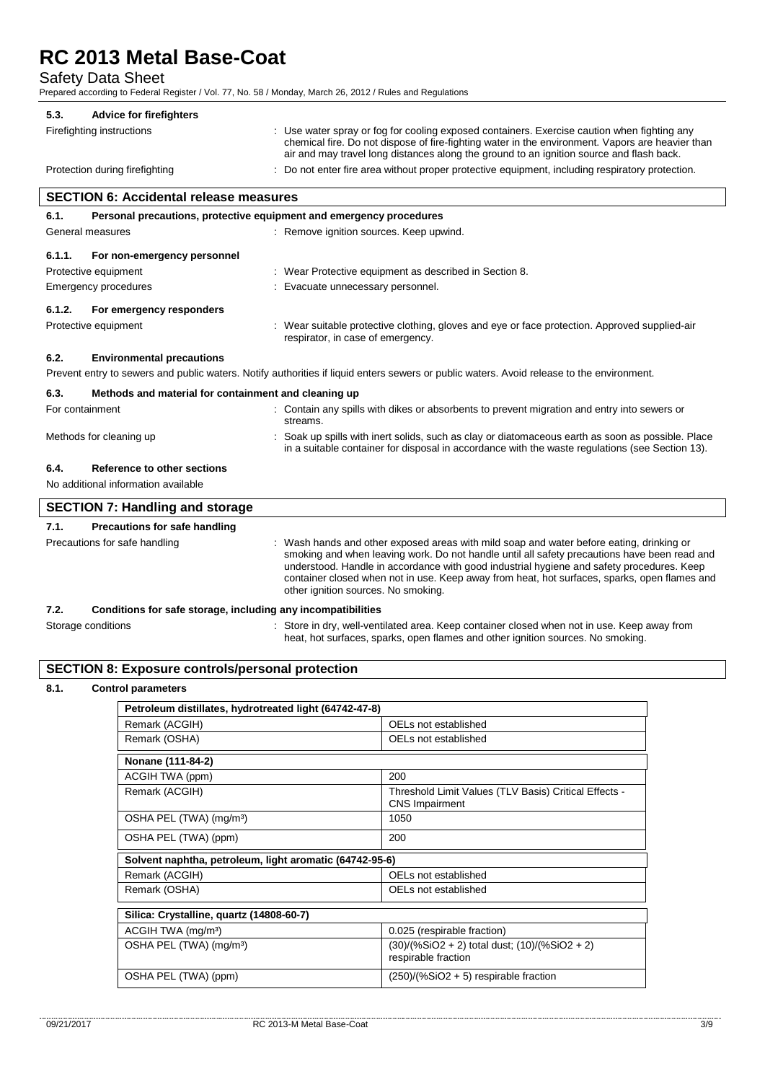Safety Data Sheet

Prepared according to Federal Register / Vol. 77, No. 58 / Monday, March 26, 2012 / Rules and Regulations

| 5.3. | <b>Advice for firefighters</b> |                                                                                                                                                                                                                                                                                             |
|------|--------------------------------|---------------------------------------------------------------------------------------------------------------------------------------------------------------------------------------------------------------------------------------------------------------------------------------------|
|      | Firefighting instructions      | : Use water spray or fog for cooling exposed containers. Exercise caution when fighting any<br>chemical fire. Do not dispose of fire-fighting water in the environment. Vapors are heavier than<br>air and may travel long distances along the ground to an ignition source and flash back. |
|      | Protection during firefighting | : Do not enter fire area without proper protective equipment, including respiratory protection.                                                                                                                                                                                             |

| For emergency responders<br>6.1.2.                                                                                                                                                                 |  |  |  |  |
|----------------------------------------------------------------------------------------------------------------------------------------------------------------------------------------------------|--|--|--|--|
| : Wear suitable protective clothing, gloves and eye or face protection. Approved supplied-air                                                                                                      |  |  |  |  |
|                                                                                                                                                                                                    |  |  |  |  |
| Prevent entry to sewers and public waters. Notify authorities if liquid enters sewers or public waters. Avoid release to the environment.                                                          |  |  |  |  |
| 6.3.<br>Methods and material for containment and cleaning up                                                                                                                                       |  |  |  |  |
| : Contain any spills with dikes or absorbents to prevent migration and entry into sewers or                                                                                                        |  |  |  |  |
| Soak up spills with inert solids, such as clay or diatomaceous earth as soon as possible. Place<br>in a suitable container for disposal in accordance with the waste regulations (see Section 13). |  |  |  |  |
|                                                                                                                                                                                                    |  |  |  |  |
| No additional information available                                                                                                                                                                |  |  |  |  |
|                                                                                                                                                                                                    |  |  |  |  |

| <b>SECTION 7: Handling and storage</b> |                                                                                                                                                                                                                                                                                                                                                                                                                              |
|----------------------------------------|------------------------------------------------------------------------------------------------------------------------------------------------------------------------------------------------------------------------------------------------------------------------------------------------------------------------------------------------------------------------------------------------------------------------------|
| Precautions for safe handling<br>7.1.  |                                                                                                                                                                                                                                                                                                                                                                                                                              |
| Precautions for safe handling          | : Wash hands and other exposed areas with mild soap and water before eating, drinking or<br>smoking and when leaving work. Do not handle until all safety precautions have been read and<br>understood. Handle in accordance with good industrial hygiene and safety procedures. Keep<br>container closed when not in use. Keep away from heat, hot surfaces, sparks, open flames and<br>other ignition sources. No smoking. |
|                                        |                                                                                                                                                                                                                                                                                                                                                                                                                              |

heat, hot surfaces, sparks, open flames and other ignition sources. No smoking.

### **7.2. Conditions for safe storage, including any incompatibilities**

Storage conditions **Store in dry**, well-ventilated area. Keep container closed when not in use. Keep away from

# **SECTION 8: Exposure controls/personal protection**

### **8.1. Control parameters**

| Petroleum distillates, hydrotreated light (64742-47-8)  |                                                                                |  |  |
|---------------------------------------------------------|--------------------------------------------------------------------------------|--|--|
| Remark (ACGIH)                                          | OELs not established                                                           |  |  |
| Remark (OSHA)                                           | OELs not established                                                           |  |  |
| Nonane (111-84-2)                                       |                                                                                |  |  |
| ACGIH TWA (ppm)                                         | 200                                                                            |  |  |
| Remark (ACGIH)                                          | Threshold Limit Values (TLV Basis) Critical Effects -<br><b>CNS Impairment</b> |  |  |
| OSHA PEL (TWA) (mg/m <sup>3</sup> )                     | 1050                                                                           |  |  |
| OSHA PEL (TWA) (ppm)                                    | 200                                                                            |  |  |
| Solvent naphtha, petroleum, light aromatic (64742-95-6) |                                                                                |  |  |
| Remark (ACGIH)                                          | OELs not established                                                           |  |  |
| Remark (OSHA)                                           | OELs not established                                                           |  |  |
| Silica: Crystalline, quartz (14808-60-7)                |                                                                                |  |  |
| ACGIH TWA (mg/m <sup>3</sup> )                          | 0.025 (respirable fraction)                                                    |  |  |
| OSHA PEL (TWA) (mg/m <sup>3</sup> )                     | (30)/(%SiO2 + 2) total dust; (10)/(%SiO2 + 2)<br>respirable fraction           |  |  |
| OSHA PEL (TWA) (ppm)                                    | $(250)/(%SiO2 + 5)$ respirable fraction                                        |  |  |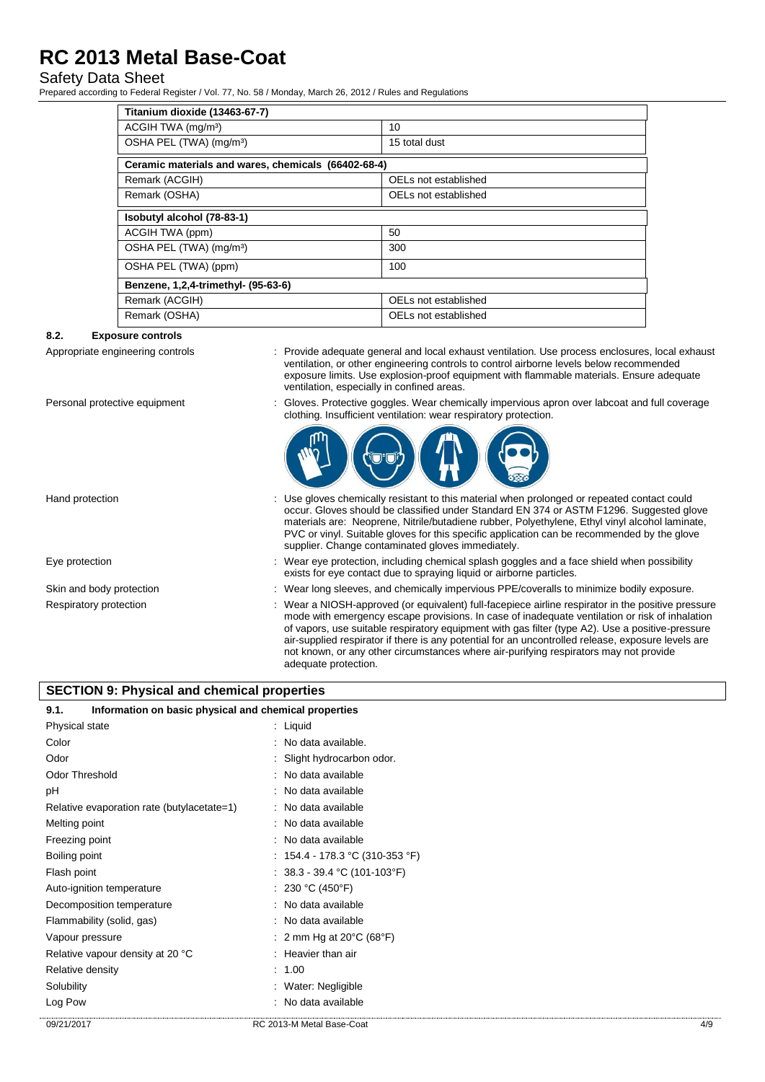# Safety Data Sheet

Prepared according to Federal Register / Vol. 77, No. 58 / Monday, March 26, 2012 / Rules and Regulations

| Titanium dioxide (13463-67-7)                       |                      |  |  |
|-----------------------------------------------------|----------------------|--|--|
| ACGIH TWA (mg/m <sup>3</sup> )                      | 10 <sup>1</sup>      |  |  |
| OSHA PEL (TWA) (mg/m <sup>3</sup> )                 | 15 total dust        |  |  |
| Ceramic materials and wares, chemicals (66402-68-4) |                      |  |  |
| Remark (ACGIH)                                      | OELs not established |  |  |
| Remark (OSHA)                                       | OELs not established |  |  |
| Isobutyl alcohol (78-83-1)                          |                      |  |  |
| ACGIH TWA (ppm)                                     | 50                   |  |  |
| OSHA PEL (TWA) (mg/m <sup>3</sup> )                 | 300                  |  |  |
| OSHA PEL (TWA) (ppm)                                | 100                  |  |  |
| Benzene, 1,2,4-trimethyl- (95-63-6)                 |                      |  |  |
| Remark (ACGIH)                                      | OELs not established |  |  |
| Remark (OSHA)                                       | OELs not established |  |  |

### **8.2. Exposure controls**

- Appropriate engineering controls : Provide adequate general and local exhaust ventilation. Use process enclosures, local exhaust ventilation, or other engineering controls to control airborne levels below recommended exposure limits. Use explosion-proof equipment with flammable materials. Ensure adequate ventilation, especially in confined areas.
- 
- 

Personal protective equipment : Gloves. Protective goggles. Wear chemically impervious apron over labcoat and full coverage clothing. Insufficient ventilation: wear respiratory protection.



- Hand protection **interest of the contact could** : Use gloves chemically resistant to this material when prolonged or repeated contact could occur. Gloves should be classified under Standard EN 374 or ASTM F1296. Suggested glove materials are: Neoprene, Nitrile/butadiene rubber, Polyethylene, Ethyl vinyl alcohol laminate, PVC or vinyl. Suitable gloves for this specific application can be recommended by the glove supplier. Change contaminated gloves immediately.
- Eye protection **including the state of the set of the set of the set of the set of the set of the set of the s**<br>
Eye protection including chemical splash goggles and a face shield when possibility exists for eye contact due to spraying liquid or airborne particles.
- Skin and body protection : Wear long sleeves, and chemically impervious PPE/coveralls to minimize bodily exposure.
- Respiratory protection : Wear a NIOSH-approved (or equivalent) full-facepiece airline respirator in the positive pressure mode with emergency escape provisions. In case of inadequate ventilation or risk of inhalation of vapors, use suitable respiratory equipment with gas filter (type A2). Use a positive-pressure air-supplied respirator if there is any potential for an uncontrolled release, exposure levels are not known, or any other circumstances where air-purifying respirators may not provide adequate protection.

### **SECTION 9: Physical and chemical properties**

| 9.1.                                       | Information on basic physical and chemical properties |  |  |
|--------------------------------------------|-------------------------------------------------------|--|--|
| Physical state                             | : Liquid                                              |  |  |
| Color                                      | : No data available.                                  |  |  |
| Odor                                       | : Slight hydrocarbon odor.                            |  |  |
| Odor Threshold                             | : No data available                                   |  |  |
| рH                                         | : No data available                                   |  |  |
| Relative evaporation rate (butylacetate=1) | : No data available                                   |  |  |
| Melting point                              | : No data available                                   |  |  |
| Freezing point                             | : No data available                                   |  |  |
| Boiling point                              | : $154.4 - 178.3$ °C (310-353 °F)                     |  |  |
| Flash point                                | : $38.3 - 39.4$ °C (101-103°F)                        |  |  |
| Auto-ignition temperature                  | : 230 °C (450°F)                                      |  |  |
| Decomposition temperature                  | : No data available                                   |  |  |
| Flammability (solid, gas)                  | : No data available                                   |  |  |
| Vapour pressure                            | : 2 mm Hg at 20 $\degree$ C (68 $\degree$ F)          |  |  |
| Relative vapour density at 20 °C           | : Heavier than air                                    |  |  |
| Relative density                           | : 1.00                                                |  |  |
| Solubility                                 | : Water: Negligible                                   |  |  |
| Log Pow                                    | : No data available                                   |  |  |
| 09/21/2017                                 | RC 2013-M Metal Base-Coat<br>4/9                      |  |  |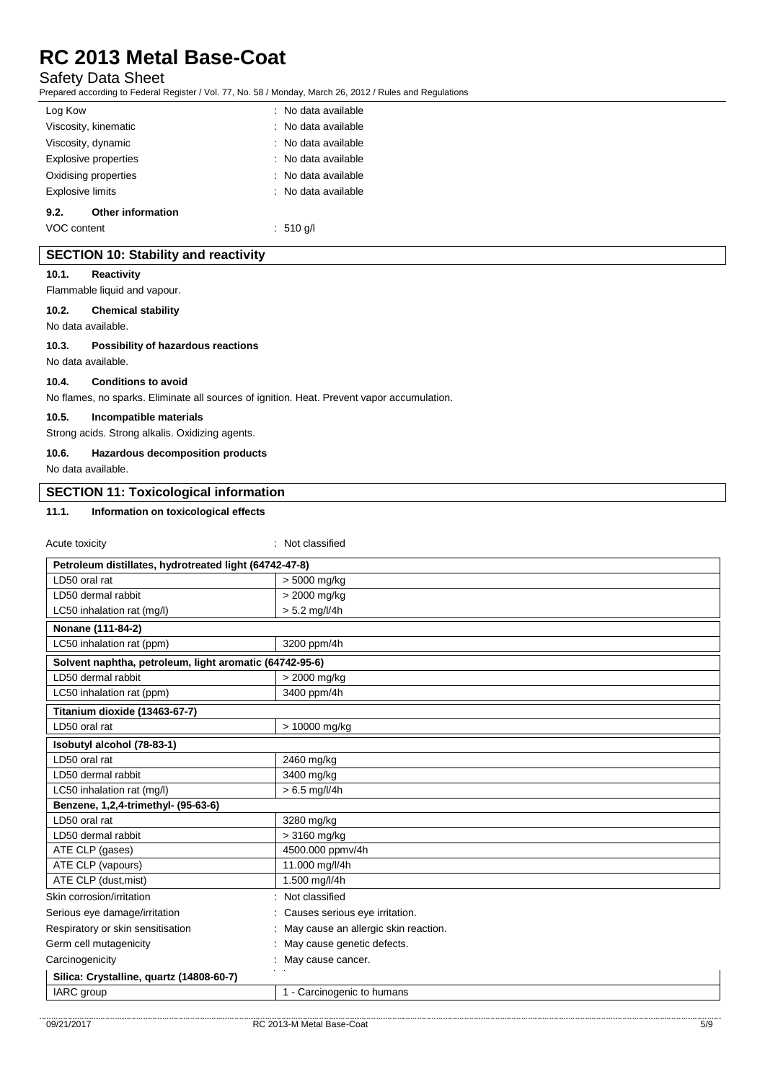# Safety Data Sheet

Prepared according to Federal Register / Vol. 77, No. 58 / Monday, March 26, 2012 / Rules and Regulations

| Log Kow                 |                          | : No data available            |
|-------------------------|--------------------------|--------------------------------|
|                         | Viscosity, kinematic     | : No data available            |
|                         | Viscosity, dynamic       | $\therefore$ No data available |
|                         | Explosive properties     | $\therefore$ No data available |
|                         | Oxidising properties     | : No data available            |
| <b>Explosive limits</b> |                          | : No data available            |
| 9.2.                    | <b>Other information</b> |                                |
| VOC content             |                          | : 510 q/l                      |

# **SECTION 10: Stability and reactivity**

### **10.1. Reactivity**

Flammable liquid and vapour.

### **10.2. Chemical stability**

No data available.

### **10.3. Possibility of hazardous reactions**

No data available.

### **10.4. Conditions to avoid**

No flames, no sparks. Eliminate all sources of ignition. Heat. Prevent vapor accumulation.

#### **10.5. Incompatible materials**

Strong acids. Strong alkalis. Oxidizing agents.

### **10.6. Hazardous decomposition products**

No data available.

# **SECTION 11: Toxicological information**

# **11.1. Information on toxicological effects**

Acute toxicity in the contract of the classified in the classified in the classified in the classified in the classified in the classified in the classified in the classified in the classified in the classified in the clas

| Petroleum distillates, hydrotreated light (64742-47-8)  |                                      |  |  |  |
|---------------------------------------------------------|--------------------------------------|--|--|--|
| LD50 oral rat                                           | > 5000 mg/kg                         |  |  |  |
| LD50 dermal rabbit                                      | > 2000 mg/kg                         |  |  |  |
| LC50 inhalation rat (mg/l)                              | $> 5.2$ mg/l/4h                      |  |  |  |
| Nonane (111-84-2)                                       |                                      |  |  |  |
| LC50 inhalation rat (ppm)                               | 3200 ppm/4h                          |  |  |  |
| Solvent naphtha, petroleum, light aromatic (64742-95-6) |                                      |  |  |  |
| LD50 dermal rabbit                                      | > 2000 mg/kg                         |  |  |  |
| LC50 inhalation rat (ppm)                               | 3400 ppm/4h                          |  |  |  |
| Titanium dioxide (13463-67-7)                           |                                      |  |  |  |
| LD50 oral rat                                           | > 10000 mg/kg                        |  |  |  |
| Isobutyl alcohol (78-83-1)                              |                                      |  |  |  |
| LD50 oral rat                                           | 2460 mg/kg                           |  |  |  |
| LD50 dermal rabbit                                      | 3400 mg/kg                           |  |  |  |
| LC50 inhalation rat (mg/l)                              | $> 6.5$ mg/l/4h                      |  |  |  |
| Benzene, 1,2,4-trimethyl- (95-63-6)                     |                                      |  |  |  |
| LD50 oral rat                                           | 3280 mg/kg                           |  |  |  |
| LD50 dermal rabbit                                      | > 3160 mg/kg                         |  |  |  |
| ATE CLP (gases)                                         | 4500.000 ppmv/4h                     |  |  |  |
| ATE CLP (vapours)                                       | 11.000 mg/l/4h                       |  |  |  |
| ATE CLP (dust, mist)                                    | 1.500 mg/l/4h                        |  |  |  |
| Skin corrosion/irritation                               | Not classified                       |  |  |  |
| Serious eye damage/irritation                           | Causes serious eye irritation.       |  |  |  |
| Respiratory or skin sensitisation                       | May cause an allergic skin reaction. |  |  |  |
| Germ cell mutagenicity                                  | May cause genetic defects.           |  |  |  |
| Carcinogenicity                                         | May cause cancer.                    |  |  |  |
| Silica: Crystalline, quartz (14808-60-7)                |                                      |  |  |  |
| IARC group                                              | 1 - Carcinogenic to humans           |  |  |  |
|                                                         |                                      |  |  |  |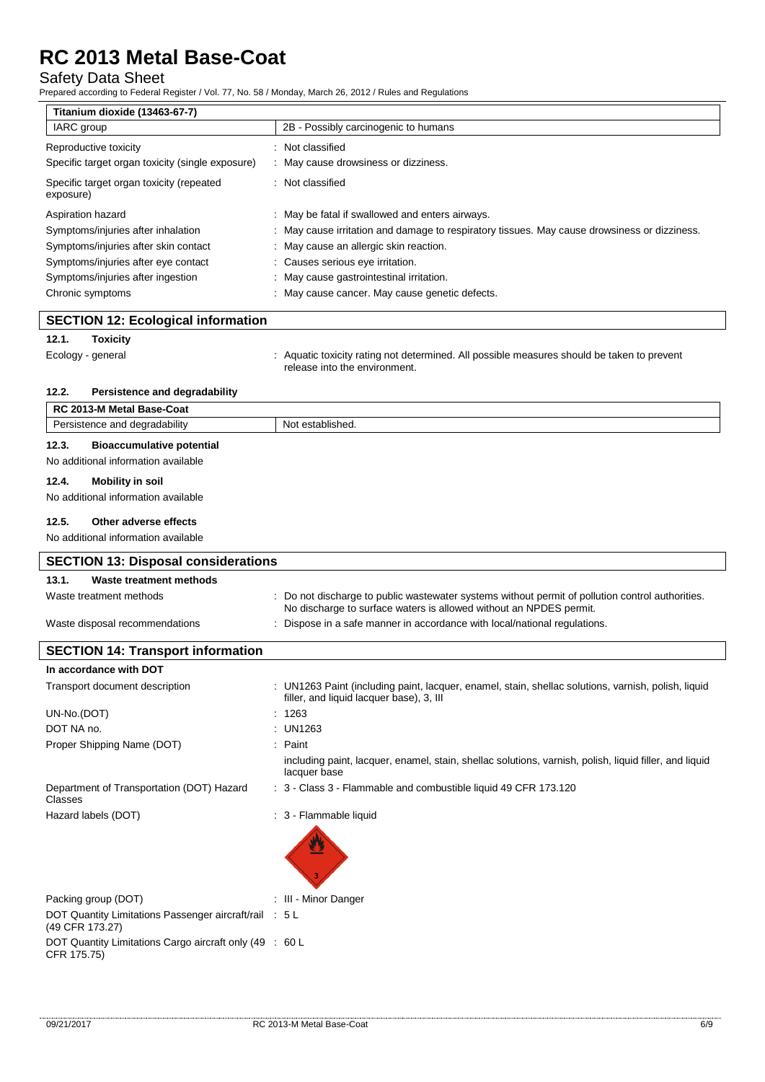# Safety Data Sheet

Prepared according to Federal Register / Vol. 77, No. 58 / Monday, March 26, 2012 / Rules and Regulations

| Titanium dioxide (13463-67-7)                         |                                                                                              |  |  |
|-------------------------------------------------------|----------------------------------------------------------------------------------------------|--|--|
| IARC group                                            | 2B - Possibly carcinogenic to humans                                                         |  |  |
| Reproductive toxicity                                 | Not classified                                                                               |  |  |
| Specific target organ toxicity (single exposure)      | : May cause drowsiness or dizziness.                                                         |  |  |
| Specific target organ toxicity (repeated<br>exposure) | Not classified                                                                               |  |  |
| Aspiration hazard                                     | : May be fatal if swallowed and enters airways.                                              |  |  |
| Symptoms/injuries after inhalation                    | : May cause irritation and damage to respiratory tissues. May cause drowsiness or dizziness. |  |  |
| Symptoms/injuries after skin contact                  | : May cause an allergic skin reaction.                                                       |  |  |
| Symptoms/injuries after eye contact                   | : Causes serious eye irritation.                                                             |  |  |
| Symptoms/injuries after ingestion                     | : May cause gastrointestinal irritation.                                                     |  |  |
| Chronic symptoms                                      | : May cause cancer. May cause genetic defects.                                               |  |  |

## **SECTION 12: Ecological information**

### **12.1. Toxicity**

Ecology - general states of the state of the cology - general states and the taken to prevent release into the environment.

### **12.2. Persistence and degradability**

| RC 2013-M Metal Base-Coat                                                        |                                                                                                  |
|----------------------------------------------------------------------------------|--------------------------------------------------------------------------------------------------|
| Persistence and degradability                                                    | Not established.                                                                                 |
| <b>Bioaccumulative potential</b><br>12.3.<br>No additional information available |                                                                                                  |
| Mobility in soil<br>12.4.<br>No additional information available                 |                                                                                                  |
| Other adverse effects<br>12.5.<br>No additional information available            |                                                                                                  |
| <b>SECTION 13: Disposal considerations</b>                                       |                                                                                                  |
| Waste treatment methods<br>13.1.<br>Waste treatment methods                      | : Do not discharge to public wastewater systems without permit of pollution control authorities. |

| Waste treatment methods        | : Do not discharge to public wastewater systems without permit of pollution control authorities.<br>No discharge to surface waters is allowed without an NPDES permit. |
|--------------------------------|------------------------------------------------------------------------------------------------------------------------------------------------------------------------|
| Waste disposal recommendations | . Dispose in a safe manner in accordance with local/national regulations.                                                                                              |

| <b>SECTION 14: Transport information</b>                                  |                                                                                                                                                 |
|---------------------------------------------------------------------------|-------------------------------------------------------------------------------------------------------------------------------------------------|
| In accordance with DOT                                                    |                                                                                                                                                 |
| Transport document description                                            | : UN1263 Paint (including paint, lacquer, enamel, stain, shellac solutions, varnish, polish, liquid<br>filler, and liquid lacquer base), 3, III |
| UN-No.(DOT)                                                               | : 1263                                                                                                                                          |
| DOT NA no.                                                                | : UN1263                                                                                                                                        |
| Proper Shipping Name (DOT)                                                | $:$ Paint                                                                                                                                       |
|                                                                           | including paint, lacquer, enamel, stain, shellac solutions, varnish, polish, liquid filler, and liquid<br>lacquer base                          |
| Department of Transportation (DOT) Hazard<br>Classes                      | : 3 - Class 3 - Flammable and combustible liquid 49 CFR 173.120                                                                                 |
| Hazard labels (DOT)                                                       | : 3 - Flammable liquid                                                                                                                          |
| Packing group (DOT)                                                       | : III - Minor Danger                                                                                                                            |
| DOT Quantity Limitations Passenger aircraft/rail : 5 L<br>(49 CFR 173.27) |                                                                                                                                                 |
| DOT Quantity Limitations Cargo aircraft only (49 : 60 L<br>CFR 175.75)    |                                                                                                                                                 |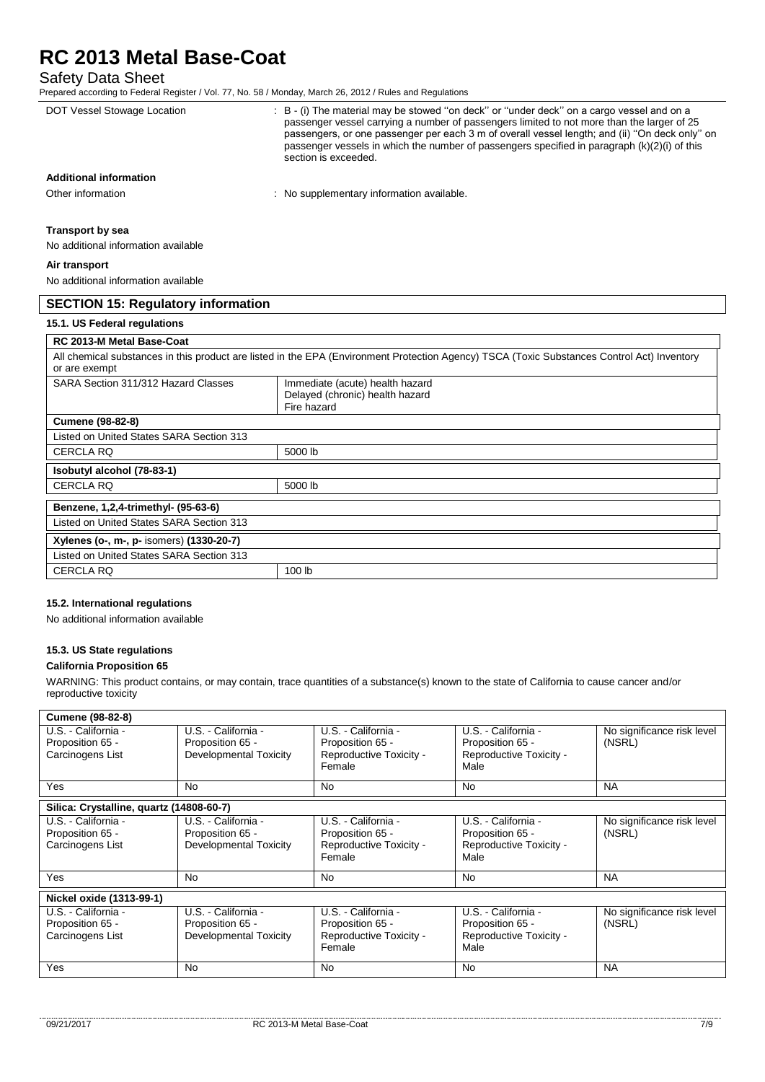# Safety Data Sheet

| Prepared according to Federal Register / Vol. 77, No. 58 / Monday, March 26, 2012 / Rules and Regulations |                                                                                                                                                                                                                                                                                                                                                                                                                   |
|-----------------------------------------------------------------------------------------------------------|-------------------------------------------------------------------------------------------------------------------------------------------------------------------------------------------------------------------------------------------------------------------------------------------------------------------------------------------------------------------------------------------------------------------|
| DOT Vessel Stowage Location                                                                               | : B - (i) The material may be stowed "on deck" or "under deck" on a cargo vessel and on a<br>passenger vessel carrying a number of passengers limited to not more than the larger of 25<br>passengers, or one passenger per each 3 m of overall vessel length; and (ii) "On deck only" on<br>passenger vessels in which the number of passengers specified in paragraph (k)(2)(i) of this<br>section is exceeded. |
| <b>Additional information</b>                                                                             |                                                                                                                                                                                                                                                                                                                                                                                                                   |
| Other information                                                                                         | : No supplementary information available.                                                                                                                                                                                                                                                                                                                                                                         |
| <b>Transport by sea</b>                                                                                   |                                                                                                                                                                                                                                                                                                                                                                                                                   |
| No additional information available                                                                       |                                                                                                                                                                                                                                                                                                                                                                                                                   |
| Air transport                                                                                             |                                                                                                                                                                                                                                                                                                                                                                                                                   |
| No additional information available                                                                       |                                                                                                                                                                                                                                                                                                                                                                                                                   |
| <b>SECTION 15: Regulatory information</b>                                                                 |                                                                                                                                                                                                                                                                                                                                                                                                                   |
| 15.1. US Federal regulations                                                                              |                                                                                                                                                                                                                                                                                                                                                                                                                   |
| RC 2013-M Metal Base-Coat                                                                                 |                                                                                                                                                                                                                                                                                                                                                                                                                   |
| or are exempt                                                                                             | All chemical substances in this product are listed in the EPA (Environment Protection Agency) TSCA (Toxic Substances Control Act) Inventory                                                                                                                                                                                                                                                                       |
| SARA Section 311/312 Hazard Classes                                                                       | Immediate (acute) health hazard                                                                                                                                                                                                                                                                                                                                                                                   |

|                                          | Delayed (chronic) health hazard |  |  |
|------------------------------------------|---------------------------------|--|--|
|                                          | Fire hazard                     |  |  |
| <b>Cumene (98-82-8)</b>                  |                                 |  |  |
| Listed on United States SARA Section 313 |                                 |  |  |
| <b>CERCLA RQ</b>                         | 5000 lb                         |  |  |
| Isobutyl alcohol (78-83-1)               |                                 |  |  |
| <b>CERCLA RQ</b>                         | 5000 lb                         |  |  |
| Benzene, 1,2,4-trimethyl- (95-63-6)      |                                 |  |  |
| Listed on United States SARA Section 313 |                                 |  |  |
| Xylenes (o-, m-, p- isomers) (1330-20-7) |                                 |  |  |
| Listed on United States SARA Section 313 |                                 |  |  |
| <b>CERCLA RQ</b>                         | 100 lb                          |  |  |

# **15.2. International regulations**

No additional information available

# **15.3. US State regulations**

### **California Proposition 65**

WARNING: This product contains, or may contain, trace quantities of a substance(s) known to the state of California to cause cancer and/or reproductive toxicity

| <b>Cumene (98-82-8)</b>                                     |                                                                   |                                                                              |                                                                            |                                      |
|-------------------------------------------------------------|-------------------------------------------------------------------|------------------------------------------------------------------------------|----------------------------------------------------------------------------|--------------------------------------|
| U.S. - California -<br>Proposition 65 -<br>Carcinogens List | U.S. - California -<br>Proposition 65 -<br>Developmental Toxicity | U.S. - California -<br>Proposition 65 -<br>Reproductive Toxicity -<br>Female | U.S. - California -<br>Proposition 65 -<br>Reproductive Toxicity -<br>Male | No significance risk level<br>(NSRL) |
| Yes                                                         | No                                                                | <b>No</b>                                                                    | <b>No</b>                                                                  | <b>NA</b>                            |
| Silica: Crystalline, quartz (14808-60-7)                    |                                                                   |                                                                              |                                                                            |                                      |
| U.S. - California -<br>Proposition 65 -<br>Carcinogens List | U.S. - California -<br>Proposition 65 -<br>Developmental Toxicity | U.S. - California -<br>Proposition 65 -<br>Reproductive Toxicity -<br>Female | U.S. - California -<br>Proposition 65 -<br>Reproductive Toxicity -<br>Male | No significance risk level<br>(NSRL) |
| Yes                                                         | No                                                                | No                                                                           | <b>No</b>                                                                  | <b>NA</b>                            |
| Nickel oxide (1313-99-1)                                    |                                                                   |                                                                              |                                                                            |                                      |
| U.S. - California -<br>Proposition 65 -<br>Carcinogens List | U.S. - California -<br>Proposition 65 -<br>Developmental Toxicity | U.S. - California -<br>Proposition 65 -<br>Reproductive Toxicity -<br>Female | U.S. - California -<br>Proposition 65 -<br>Reproductive Toxicity -<br>Male | No significance risk level<br>(NSRL) |
| Yes                                                         | No                                                                | <b>No</b>                                                                    | <b>No</b>                                                                  | <b>NA</b>                            |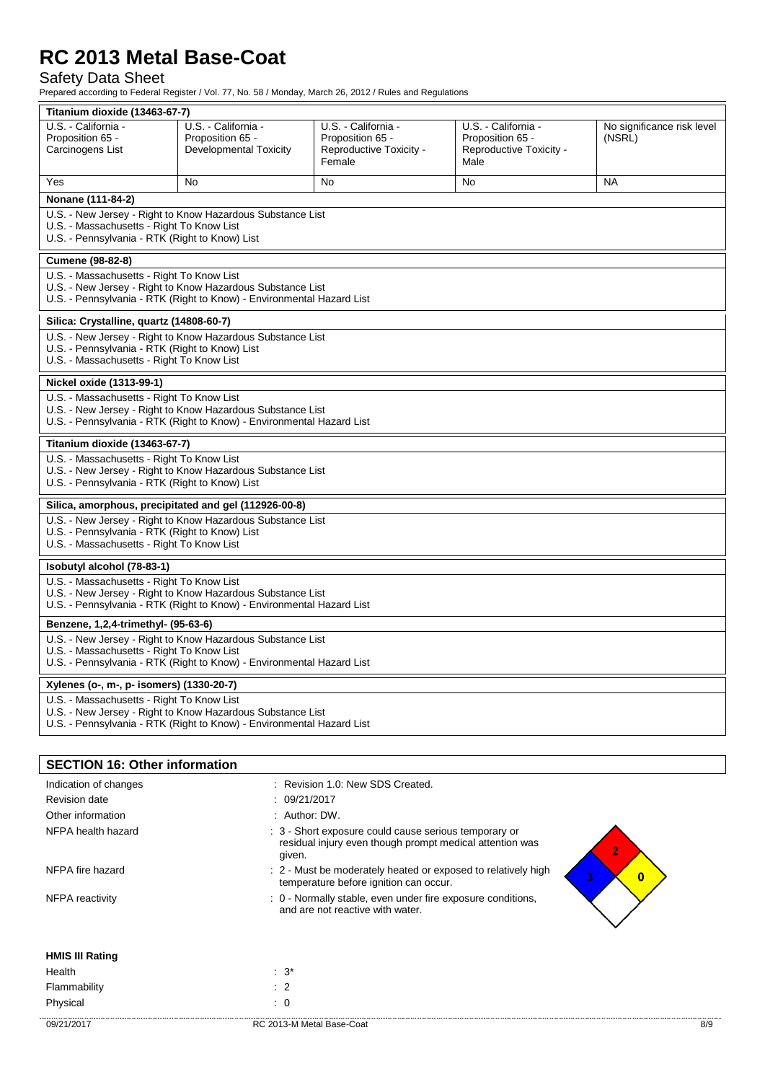# Safety Data Sheet

Prepared according to Federal Register / Vol. 77, No. 58 / Monday, March 26, 2012 / Rules and Regulations

| Titanium dioxide (13463-67-7)                                                                                                                                                    |                                                                                                                                                                                  |                                                                                                                   |                                 |                            |
|----------------------------------------------------------------------------------------------------------------------------------------------------------------------------------|----------------------------------------------------------------------------------------------------------------------------------------------------------------------------------|-------------------------------------------------------------------------------------------------------------------|---------------------------------|----------------------------|
| U.S. - California -                                                                                                                                                              | U.S. - California -                                                                                                                                                              | U.S. - California -                                                                                               | U.S. - California -             | No significance risk level |
| Proposition 65 -                                                                                                                                                                 | Proposition 65 -                                                                                                                                                                 | Proposition 65 -                                                                                                  | Proposition 65 -                | (NSRL)                     |
| Carcinogens List                                                                                                                                                                 | <b>Developmental Toxicity</b>                                                                                                                                                    | Reproductive Toxicity -<br>Female                                                                                 | Reproductive Toxicity -<br>Male |                            |
| Yes                                                                                                                                                                              | No                                                                                                                                                                               | <b>No</b>                                                                                                         | No                              | <b>NA</b>                  |
| Nonane (111-84-2)                                                                                                                                                                |                                                                                                                                                                                  |                                                                                                                   |                                 |                            |
| U.S. - New Jersey - Right to Know Hazardous Substance List<br>U.S. - Massachusetts - Right To Know List<br>U.S. - Pennsylvania - RTK (Right to Know) List                        |                                                                                                                                                                                  |                                                                                                                   |                                 |                            |
| Cumene (98-82-8)                                                                                                                                                                 |                                                                                                                                                                                  |                                                                                                                   |                                 |                            |
|                                                                                                                                                                                  | U.S. - Massachusetts - Right To Know List<br>U.S. - New Jersey - Right to Know Hazardous Substance List<br>U.S. - Pennsylvania - RTK (Right to Know) - Environmental Hazard List |                                                                                                                   |                                 |                            |
| Silica: Crystalline, quartz (14808-60-7)                                                                                                                                         |                                                                                                                                                                                  |                                                                                                                   |                                 |                            |
|                                                                                                                                                                                  | U.S. - New Jersey - Right to Know Hazardous Substance List<br>U.S. - Pennsylvania - RTK (Right to Know) List<br>U.S. - Massachusetts - Right To Know List                        |                                                                                                                   |                                 |                            |
| Nickel oxide (1313-99-1)                                                                                                                                                         |                                                                                                                                                                                  |                                                                                                                   |                                 |                            |
| U.S. - Massachusetts - Right To Know List<br>U.S. - New Jersey - Right to Know Hazardous Substance List<br>U.S. - Pennsylvania - RTK (Right to Know) - Environmental Hazard List |                                                                                                                                                                                  |                                                                                                                   |                                 |                            |
| Titanium dioxide (13463-67-7)                                                                                                                                                    |                                                                                                                                                                                  |                                                                                                                   |                                 |                            |
| U.S. - Massachusetts - Right To Know List<br>U.S. - New Jersey - Right to Know Hazardous Substance List<br>U.S. - Pennsylvania - RTK (Right to Know) List                        |                                                                                                                                                                                  |                                                                                                                   |                                 |                            |
| Silica, amorphous, precipitated and gel (112926-00-8)                                                                                                                            |                                                                                                                                                                                  |                                                                                                                   |                                 |                            |
| U.S. - New Jersey - Right to Know Hazardous Substance List<br>U.S. - Pennsylvania - RTK (Right to Know) List<br>U.S. - Massachusetts - Right To Know List                        |                                                                                                                                                                                  |                                                                                                                   |                                 |                            |
| Isobutyl alcohol (78-83-1)                                                                                                                                                       |                                                                                                                                                                                  |                                                                                                                   |                                 |                            |
| U.S. - Massachusetts - Right To Know List<br>U.S. - New Jersey - Right to Know Hazardous Substance List<br>U.S. - Pennsylvania - RTK (Right to Know) - Environmental Hazard List |                                                                                                                                                                                  |                                                                                                                   |                                 |                            |
| Benzene, 1,2,4-trimethyl- (95-63-6)                                                                                                                                              |                                                                                                                                                                                  |                                                                                                                   |                                 |                            |
| U.S. - New Jersey - Right to Know Hazardous Substance List<br>U.S. - Massachusetts - Right To Know List<br>U.S. - Pennsylvania - RTK (Right to Know) - Environmental Hazard List |                                                                                                                                                                                  |                                                                                                                   |                                 |                            |
| Xylenes (o-, m-, p- isomers) (1330-20-7)                                                                                                                                         |                                                                                                                                                                                  |                                                                                                                   |                                 |                            |
| U.S. - Massachusetts - Right To Know List<br>U.S. - New Jersey - Right to Know Hazardous Substance List<br>U.S. - Pennsylvania - RTK (Right to Know) - Environmental Hazard List |                                                                                                                                                                                  |                                                                                                                   |                                 |                            |
|                                                                                                                                                                                  |                                                                                                                                                                                  |                                                                                                                   |                                 |                            |
| <b>SECTION 16: Other information</b>                                                                                                                                             |                                                                                                                                                                                  |                                                                                                                   |                                 |                            |
| Indication of changes                                                                                                                                                            |                                                                                                                                                                                  | : Revision 1.0: New SDS Created.                                                                                  |                                 |                            |
| <b>Revision date</b>                                                                                                                                                             |                                                                                                                                                                                  | 09/21/2017                                                                                                        |                                 |                            |
| Other information                                                                                                                                                                | : Author: DW.                                                                                                                                                                    |                                                                                                                   |                                 |                            |
| NFPA health hazard                                                                                                                                                               | given.                                                                                                                                                                           | : 3 - Short exposure could cause serious temporary or<br>residual injury even though prompt medical attention was |                                 | $\overline{2}$             |
| NFPA fire hazard                                                                                                                                                                 |                                                                                                                                                                                  | : 2 - Must be moderately heated or exposed to relatively high<br>temperature before ignition can occur.           |                                 | 3 <sup>1</sup><br>$\bf{0}$ |
| <b>NFPA</b> reactivity<br>: 0 - Normally stable, even under fire exposure conditions,<br>and are not reactive with water.                                                        |                                                                                                                                                                                  |                                                                                                                   |                                 |                            |